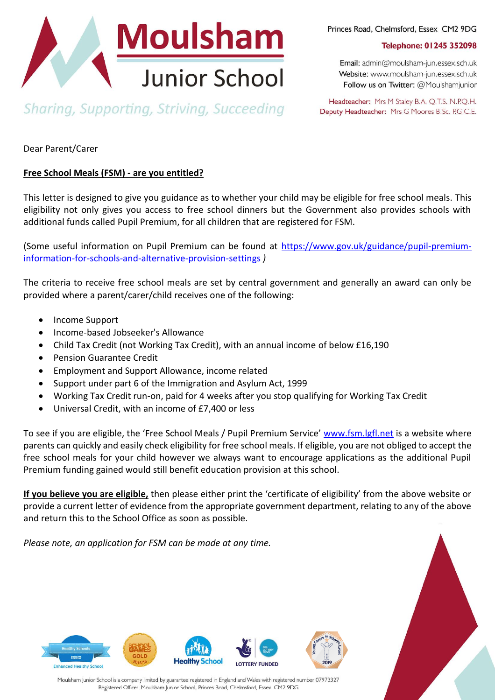

Princes Road, Chelmsford, Essex CM2 9DG

Telephone: 01245 352098

Email: admin@moulsham-jun.essex.sch.uk Website: www.moulsham-jun.essex.sch.uk Follow us on Twitter: @Moulshamjunior

**Sharing, Supporting, Striving, Succeeding** 

Headteacher: Mrs M Staley B.A. Q.T.S. N.P.Q.H. Deputy Headteacher: Mrs G Moores B.Sc. P.G.C.E.

Dear Parent/Carer

## **Free School Meals (FSM) - are you entitled?**

This letter is designed to give you guidance as to whether your child may be eligible for free school meals. This eligibility not only gives you access to free school dinners but the Government also provides schools with additional funds called Pupil Premium, for all children that are registered for FSM.

(Some useful information on Pupil Premium can be found at [https://www.gov.uk/guidance/pupil-premium](https://www.gov.uk/guidance/pupil-premium-information-for-schools-and-alternative-provision-settings)[information-for-schools-and-alternative-provision-settings](https://www.gov.uk/guidance/pupil-premium-information-for-schools-and-alternative-provision-settings) *)*

The criteria to receive free school meals are set by central government and generally an award can only be provided where a parent/carer/child receives one of the following:

- Income Support
- Income-based Jobseeker's Allowance
- Child Tax Credit (not Working Tax Credit), with an annual income of below £16,190
- **•** Pension Guarantee Credit
- Employment and Support Allowance, income related
- Support under part 6 of the Immigration and Asylum Act, 1999
- Working Tax Credit run-on, paid for 4 weeks after you stop qualifying for Working Tax Credit
- Universal Credit, with an income of £7,400 or less

To see if you are eligible, the 'Free School Meals / Pupil Premium Service' [www.fsm.lgfl.net](http://www.fsm.lgfl.net/) is a website where parents can quickly and easily check eligibility for free school meals. If eligible, you are not obliged to accept the free school meals for your child however we always want to encourage applications as the additional Pupil Premium funding gained would still benefit education provision at this school.

**If you believe you are eligible,** then please either print the 'certificate of eligibility' from the above website or provide a current letter of evidence from the appropriate government department, relating to any of the above and return this to the School Office as soon as possible.

*Please note, an application for FSM can be made at any time.*





Moulsham Junior School is a company limited by guarantee registered in England and Wales with registered number 07973327 Registered Office: Moulsham Junior School, Princes Road, Chelmsford, Essex CM2 9DG